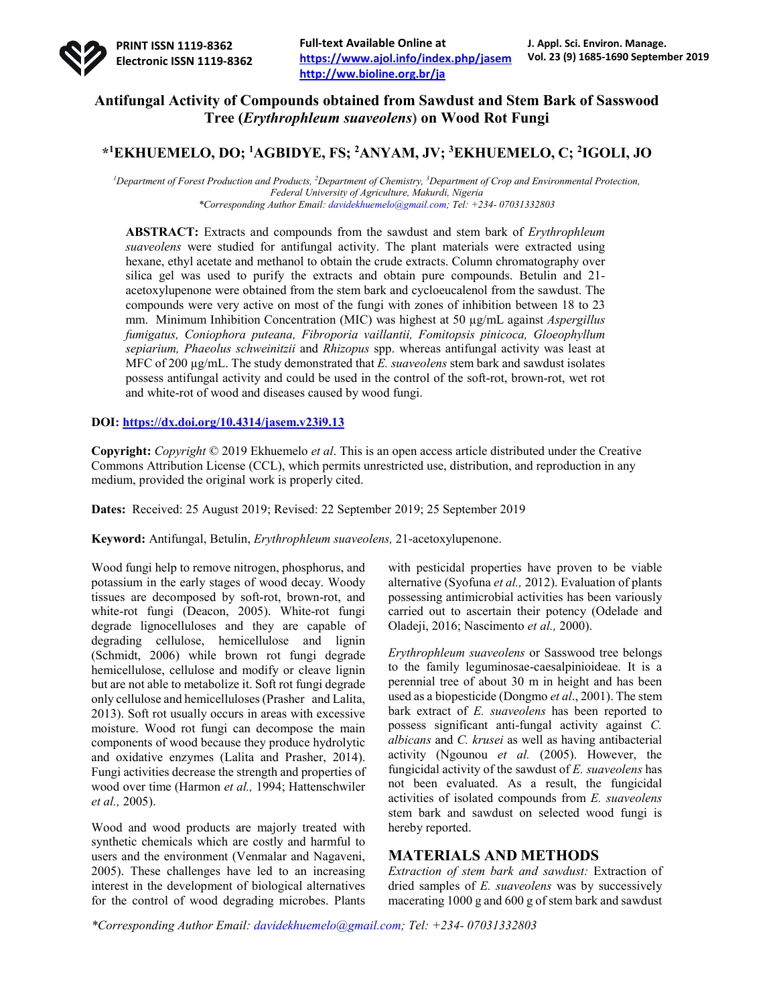

## **Antifungal Activity of Compounds obtained from Sawdust and Stem Bark of Sasswood Tree (***Erythrophleum suaveolens***) on Wood Rot Fungi**

# **\*1 EKHUEMELO, DO; <sup>1</sup> AGBIDYE, FS; 2 ANYAM, JV; 3 EKHUEMELO, C; 2 IGOLI, JO**

<sup>*l*</sup> Department of Forest Production and Products, <sup>2</sup>Department of Chemistry, <sup>3</sup>Department of Crop and Environmental Protection, *Federal University of Agriculture, Makurdi, Nigeria \*Corresponding Author Email: davidekhuemelo@gmail.com; Tel: +234- 07031332803*

**ABSTRACT:** Extracts and compounds from the sawdust and stem bark of *Erythrophleum suaveolens* were studied for antifungal activity. The plant materials were extracted using hexane, ethyl acetate and methanol to obtain the crude extracts. Column chromatography over silica gel was used to purify the extracts and obtain pure compounds. Betulin and 21 acetoxylupenone were obtained from the stem bark and cycloeucalenol from the sawdust. The compounds were very active on most of the fungi with zones of inhibition between 18 to 23 mm. Minimum Inhibition Concentration (MIC) was highest at 50 µg/mL against *Aspergillus fumigatus, Coniophora puteana, Fibroporia vaillantii, Fomitopsis pinicoca, Gloeophyllum sepiarium, Phaeolus schweinitzii* and *Rhizopus* spp. whereas antifungal activity was least at MFC of 200 µg/mL. The study demonstrated that *E. suaveolens* stem bark and sawdust isolates possess antifungal activity and could be used in the control of the soft-rot, brown-rot, wet rot and white-rot of wood and diseases caused by wood fungi.

### **DOI: https://dx.doi.org/10.4314/jasem.v23i9.13**

**Copyright:** *Copyright* © 2019 Ekhuemelo *et al*. This is an open access article distributed under the Creative Commons Attribution License (CCL), which permits unrestricted use, distribution, and reproduction in any medium, provided the original work is properly cited.

**Dates:** Received: 25 August 2019; Revised: 22 September 2019; 25 September 2019

**Keyword:** Antifungal, Betulin, *Erythrophleum suaveolens,* 21-acetoxylupenone.

Wood fungi help to remove nitrogen, phosphorus, and potassium in the early stages of wood decay. Woody tissues are decomposed by soft-rot, brown-rot, and white-rot fungi (Deacon, 2005). White-rot fungi degrade lignocelluloses and they are capable of degrading cellulose, hemicellulose and lignin (Schmidt, 2006) while brown rot fungi degrade hemicellulose, cellulose and modify or cleave lignin but are not able to metabolize it. Soft rot fungi degrade only cellulose and hemicelluloses (Prasher and Lalita, 2013). Soft rot usually occurs in areas with excessive moisture. Wood rot fungi can decompose the main components of wood because they produce hydrolytic and oxidative enzymes (Lalita and Prasher, 2014). Fungi activities decrease the strength and properties of wood over time (Harmon *et al.,* 1994; Hattenschwiler *et al.,* 2005).

Wood and wood products are majorly treated with synthetic chemicals which are costly and harmful to users and the environment (Venmalar and Nagaveni, 2005). These challenges have led to an increasing interest in the development of biological alternatives for the control of wood degrading microbes. Plants

with pesticidal properties have proven to be viable alternative (Syofuna *et al.,* 2012). Evaluation of plants possessing antimicrobial activities has been variously carried out to ascertain their potency (Odelade and Oladeji, 2016; Nascimento *et al.,* 2000).

*Erythrophleum suaveolens* or Sasswood tree belongs to the family leguminosae-caesalpinioideae. It is a perennial tree of about 30 m in height and has been used as a biopesticide (Dongmo *et al*., 2001). The stem bark extract of *E. suaveolens* has been reported to possess significant anti-fungal activity against *C. albicans* and *C. krusei* as well as having antibacterial activity (Ngounou *et al.* (2005). However, the fungicidal activity of the sawdust of *E. suaveolens* has not been evaluated. As a result, the fungicidal activities of isolated compounds from *E. suaveolens*  stem bark and sawdust on selected wood fungi is hereby reported.

## **MATERIALS AND METHODS**

*Extraction of stem bark and sawdust:* Extraction of dried samples of *E. suaveolens* was by successively macerating 1000 g and 600 g of stem bark and sawdust

*\*Corresponding Author Email: davidekhuemelo@gmail.com; Tel: +234- 07031332803*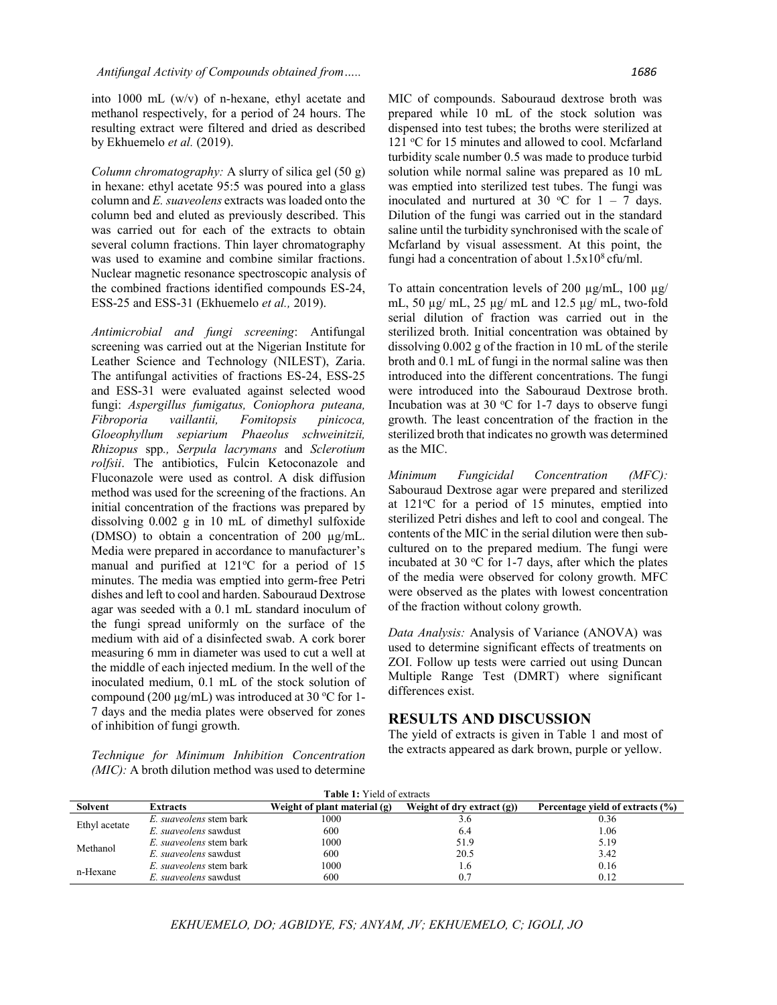into 1000 mL (w/v) of n-hexane, ethyl acetate and methanol respectively, for a period of 24 hours. The resulting extract were filtered and dried as described by Ekhuemelo *et al.* (2019).

*Column chromatography:* A slurry of silica gel (50 g) in hexane: ethyl acetate 95:5 was poured into a glass column and *E. suaveolens* extracts was loaded onto the column bed and eluted as previously described. This was carried out for each of the extracts to obtain several column fractions. Thin layer chromatography was used to examine and combine similar fractions. Nuclear magnetic resonance spectroscopic analysis of the combined fractions identified compounds ES-24, ESS-25 and ESS-31 (Ekhuemelo *et al.,* 2019).

*Antimicrobial and fungi screening*: Antifungal screening was carried out at the Nigerian Institute for Leather Science and Technology (NILEST), Zaria. The antifungal activities of fractions ES-24, ESS-25 and ESS-31 were evaluated against selected wood fungi: *Aspergillus fumigatus, Coniophora puteana, Fibroporia vaillantii, Fomitopsis pinicoca, Gloeophyllum sepiarium Phaeolus schweinitzii, Rhizopus* spp*., Serpula lacrymans* and *Sclerotium rolfsii*. The antibiotics, Fulcin Ketoconazole and Fluconazole were used as control. A disk diffusion method was used for the screening of the fractions. An initial concentration of the fractions was prepared by dissolving 0.002 g in 10 mL of dimethyl sulfoxide (DMSO) to obtain a concentration of 200 µg/mL. Media were prepared in accordance to manufacturer's manual and purified at 121°C for a period of 15 minutes. The media was emptied into germ-free Petri dishes and left to cool and harden. Sabouraud Dextrose agar was seeded with a 0.1 mL standard inoculum of the fungi spread uniformly on the surface of the medium with aid of a disinfected swab. A cork borer measuring 6 mm in diameter was used to cut a well at the middle of each injected medium. In the well of the inoculated medium, 0.1 mL of the stock solution of compound (200  $\mu$ g/mL) was introduced at 30 °C for 1-7 days and the media plates were observed for zones of inhibition of fungi growth.

*Technique for Minimum Inhibition Concentration (MIC):* A broth dilution method was used to determine

MIC of compounds. Sabouraud dextrose broth was prepared while 10 mL of the stock solution was dispensed into test tubes; the broths were sterilized at 121 °C for 15 minutes and allowed to cool. Mcfarland turbidity scale number 0.5 was made to produce turbid solution while normal saline was prepared as 10 mL was emptied into sterilized test tubes. The fungi was inoculated and nurtured at 30 °C for  $1 - 7$  days. Dilution of the fungi was carried out in the standard saline until the turbidity synchronised with the scale of Mcfarland by visual assessment. At this point, the fungi had a concentration of about  $1.5x10^8$  cfu/ml.

To attain concentration levels of 200  $\mu$ g/mL, 100  $\mu$ g/ mL, 50 µg/ mL, 25 µg/ mL and 12.5 µg/ mL, two-fold serial dilution of fraction was carried out in the sterilized broth. Initial concentration was obtained by dissolving 0.002 g of the fraction in 10 mL of the sterile broth and 0.1 mL of fungi in the normal saline was then introduced into the different concentrations. The fungi were introduced into the Sabouraud Dextrose broth. Incubation was at 30  $\rm{^{\circ}C}$  for 1-7 days to observe fungi growth. The least concentration of the fraction in the sterilized broth that indicates no growth was determined as the MIC.

*Minimum Fungicidal Concentration (MFC):* Sabouraud Dextrose agar were prepared and sterilized at 121°C for a period of 15 minutes, emptied into sterilized Petri dishes and left to cool and congeal. The contents of the MIC in the serial dilution were then subcultured on to the prepared medium. The fungi were incubated at 30  $\rm{°C}$  for 1-7 days, after which the plates of the media were observed for colony growth. MFC were observed as the plates with lowest concentration of the fraction without colony growth.

*Data Analysis:* Analysis of Variance (ANOVA) was used to determine significant effects of treatments on ZOI. Follow up tests were carried out using Duncan Multiple Range Test (DMRT) where significant differences exist.

### **RESULTS AND DISCUSSION**

The yield of extracts is given in Table 1 and most of the extracts appeared as dark brown, purple or yellow.

| <b>Table 1:</b> Yield of extracts |                         |                                |                               |                                  |  |  |  |  |  |  |
|-----------------------------------|-------------------------|--------------------------------|-------------------------------|----------------------------------|--|--|--|--|--|--|
| Solvent                           | <b>Extracts</b>         | Weight of plant material $(g)$ | Weight of dry extract $(g)$ ) | Percentage yield of extracts (%) |  |  |  |  |  |  |
| Ethyl acetate                     | E. suaveolens stem bark | 1000                           | 3.6                           | 0.36                             |  |  |  |  |  |  |
|                                   | E. suaveolens sawdust   | 600                            | 6.4                           | 0.06                             |  |  |  |  |  |  |
| Methanol                          | E. suaveolens stem bark | 1000                           | 51.9                          | 5.19                             |  |  |  |  |  |  |
|                                   | E. suaveolens sawdust   | 600                            | 20.5                          | 3.42                             |  |  |  |  |  |  |
| n-Hexane                          | E. suaveolens stem bark | 1000                           | 1.6                           | 0.16                             |  |  |  |  |  |  |
|                                   | E. suaveolens sawdust   | 600                            |                               | 0.12                             |  |  |  |  |  |  |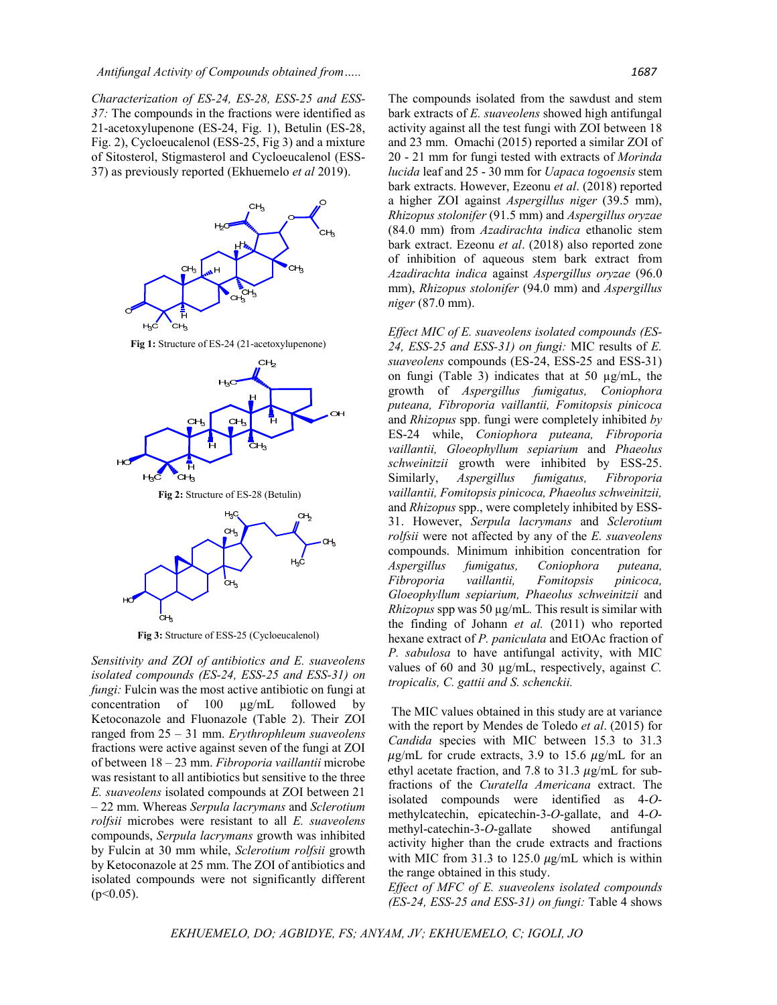*Characterization of ES-24, ES-28, ESS-25 and ESS-37:* The compounds in the fractions were identified as 21-acetoxylupenone (ES-24, Fig. 1), Betulin (ES-28, Fig. 2), Cycloeucalenol (ESS-25, Fig 3) and a mixture of Sitosterol, Stigmasterol and Cycloeucalenol (ESS-37) as previously reported (Ekhuemelo *et al* 2019).



**Fig 1:** Structure of ES-24 (21-acetoxylupenone)



**Fig 2:** Structure of ES-28 (Betulin)



**Fig 3:** Structure of ESS-25 (Cycloeucalenol)

*Sensitivity and ZOI of antibiotics and E. suaveolens isolated compounds (ES-24, ESS-25 and ESS-31) on fungi:* Fulcin was the most active antibiotic on fungi at concentration of 100 µg/mL followed by Ketoconazole and Fluonazole (Table 2). Their ZOI ranged from 25 – 31 mm. *Erythrophleum suaveolens*  fractions were active against seven of the fungi at ZOI of between 18 – 23 mm. *Fibroporia vaillantii* microbe was resistant to all antibiotics but sensitive to the three *E. suaveolens* isolated compounds at ZOI between 21 – 22 mm. Whereas *Serpula lacrymans* and *Sclerotium rolfsii* microbes were resistant to all *E. suaveolens* compounds, *Serpula lacrymans* growth was inhibited by Fulcin at 30 mm while, *Sclerotium rolfsii* growth by Ketoconazole at 25 mm. The ZOI of antibiotics and isolated compounds were not significantly different  $(p<0.05)$ .

The compounds isolated from the sawdust and stem bark extracts of *E. suaveolens* showed high antifungal activity against all the test fungi with ZOI between 18 and 23 mm. Omachi (2015) reported a similar ZOI of 20 - 21 mm for fungi tested with extracts of *Morinda lucida* leaf and 25 - 30 mm for *Uapaca togoensis* stem bark extracts. However, Ezeonu *et al*. (2018) reported a higher ZOI against *Aspergillus niger* (39.5 mm), *Rhizopus stolonifer* (91.5 mm) and *Aspergillus oryzae* (84.0 mm) from *Azadirachta indica* ethanolic stem

bark extract. Ezeonu *et al*. (2018) also reported zone of inhibition of aqueous stem bark extract from *Azadirachta indica* against *Aspergillus oryzae* (96.0 mm), *Rhizopus stolonifer* (94.0 mm) and *Aspergillus niger* (87.0 mm).

*Effect MIC of E. suaveolens isolated compounds (ES-24, ESS-25 and ESS-31) on fungi:* MIC results of *E. suaveolens* compounds (ES-24, ESS-25 and ESS-31) on fungi (Table 3) indicates that at 50 µg/mL, the growth of *Aspergillus fumigatus, Coniophora puteana, Fibroporia vaillantii, Fomitopsis pinicoca*  and *Rhizopus* spp. fungi were completely inhibited *by*  ES-24 while, *Coniophora puteana, Fibroporia vaillantii, Gloeophyllum sepiarium* and *Phaeolus schweinitzii* growth were inhibited by ESS-25. Similarly, *Aspergillus fumigatus, Fibroporia vaillantii, Fomitopsis pinicoca, Phaeolus schweinitzii,*  and *Rhizopus* spp., were completely inhibited by ESS-31. However, *Serpula lacrymans* and *Sclerotium rolfsii* were not affected by any of the *E. suaveolens* compounds. Minimum inhibition concentration for *Aspergillus fumigatus, Coniophora puteana, Fibroporia vaillantii, Fomitopsis pinicoca, Gloeophyllum sepiarium, Phaeolus schweinitzii* and *Rhizopus* spp was 50 µg/mL*.* This result is similar with the finding of Johann *et al.* (2011) who reported hexane extract of *P. paniculata* and EtOAc fraction of *P. sabulosa* to have antifungal activity, with MIC values of 60 and 30 µg/mL, respectively, against *C. tropicalis, C. gattii and S. schenckii.*

The MIC values obtained in this study are at variance with the report by Mendes de Toledo *et al*. (2015) for *Candida* species with MIC between 15.3 to 31.3  $\mu$ g/mL for crude extracts, 3.9 to 15.6  $\mu$ g/mL for an ethyl acetate fraction, and 7.8 to 31.3  $\mu$ g/mL for subfractions of the *Curatella Americana* extract. The isolated compounds were identified as 4-*O*methylcatechin, epicatechin-3-*O*-gallate, and 4-*O*methyl-catechin-3-*O*-gallate showed antifungal activity higher than the crude extracts and fractions with MIC from 31.3 to 125.0  $\mu$ g/mL which is within the range obtained in this study.

*Effect of MFC of E. suaveolens isolated compounds (ES-24, ESS-25 and ESS-31) on fungi:* Table 4 shows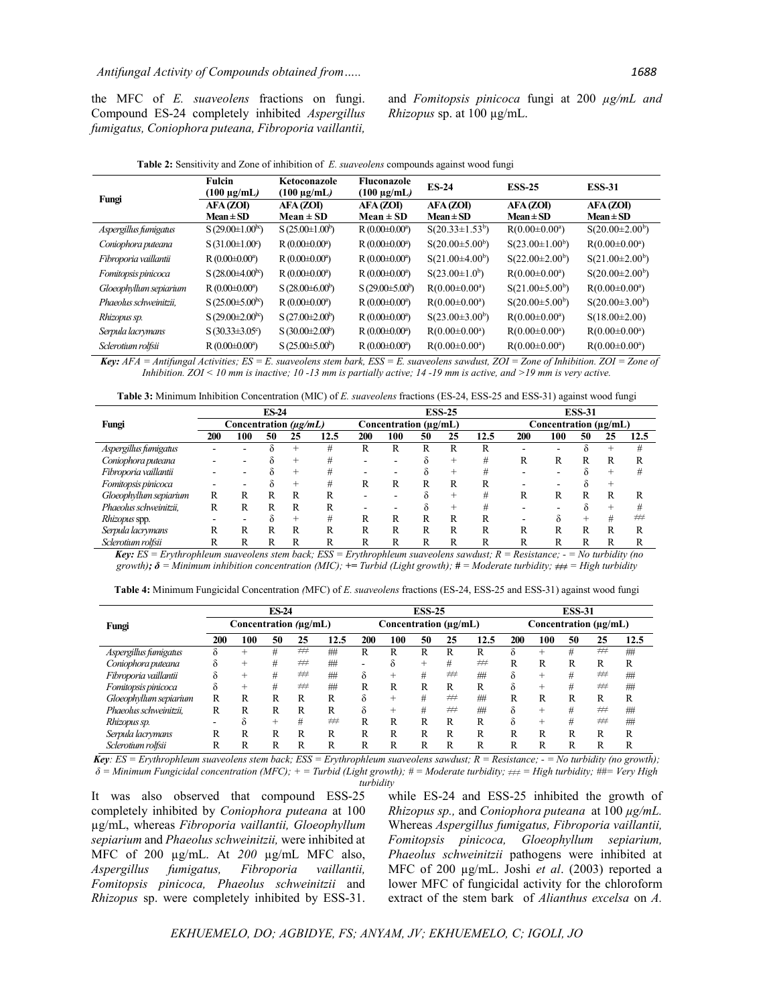the MFC of *E. suaveolens* fractions on fungi. Compound ES-24 completely inhibited *Aspergillus fumigatus, Coniophora puteana, Fibroporia vaillantii,*

and *Fomitopsis pinicoca* fungi at 200 *µg/mL and Rhizopus* sp. at 100 µg/mL.

| Fungi                  | <b>Fulcin</b><br>$(100 \mu g/mL)$ | Ketoconazole<br>$(100 \mu g/mL)$ | Fluconazole<br>(100 µg/mL) | <b>ES-24</b>          | <b>ESS-25</b>       | <b>ESS-31</b>       |  |
|------------------------|-----------------------------------|----------------------------------|----------------------------|-----------------------|---------------------|---------------------|--|
|                        | AFA (ZOI)                         | AFA (ZOI)                        | AFA(ZOI)                   | AFA(ZOI)              | AFA(ZOI)            | AFA (ZOI)           |  |
|                        | $Mean \pm SD$                     | $Mean \pm SD$                    | $Mean \pm SD$              | $Mean \pm SD$         | $Mean \pm SD$       | $Mean \pm SD$       |  |
| Aspergillus fumigatus  | $S(29.00\pm1.00^{bc})$            | $S(25.00\pm1.00^b)$              | $R(0.00\pm0.00^a)$         | $S(20.33 \pm 1.53^b)$ | $R(0.00\pm0.00^a)$  | $S(20.00\pm2.00^b)$ |  |
| Coniophora puteana     | $S(31.00\pm1.00^{\circ})$         | $R(0.00\pm0.00^a)$               | $R(0.00\pm0.00^a)$         | $S(20.00\pm5.00^b)$   | $S(23.00\pm1.00^b)$ | $R(0.00\pm0.00^a)$  |  |
| Fibroporia vaillantii  | $R(0.00\pm0.00^a)$                | $R(0.00\pm0.00^a)$               | $R(0.00\pm0.00^a)$         | $S(21.00\pm4.00^b)$   | $S(22.00\pm2.00^b)$ | $S(21.00\pm2.00^b)$ |  |
| Fomitopsis pinicoca    | $S(28.00\pm4.00^{bc})$            | $R(0.00\pm0.00^a)$               | $R(0.00\pm0.00^a)$         | $S(23.00\pm1.0^b)$    | $R(0.00\pm0.00^a)$  | $S(20.00\pm2.00^b)$ |  |
| Gloeophyllum sepiarium | $R(0.00\pm0.00^a)$                | $S(28.00\pm6.00^b)$              | $S(29.00\pm5.00^b)$        | $R(0.00\pm0.00^a)$    | $S(21.00\pm5.00^b)$ | $R(0.00\pm0.00^a)$  |  |
| Phaeolus schweinitzii. | $S(25.00\pm5.00^{bc})$            | $R(0.00\pm0.00^a)$               | $R(0.00\pm0.00^a)$         | $R(0.00\pm0.00^a)$    | $S(20.00\pm5.00^b)$ | $S(20.00\pm3.00^b)$ |  |
| Rhizopus sp.           | $S(29.00\pm2.00^{bc})$            | $S(27.00\pm2.00^b)$              | $R(0.00\pm0.00^a)$         | $S(23.00\pm3.00^b)$   | $R(0.00\pm0.00^a)$  | $S(18.00\pm2.00)$   |  |
| Serpula lacrymans      | $S(30.33\pm3.05^{\circ})$         | $S(30.00\pm2.00^b)$              | $R(0.00\pm0.00^a)$         | $R(0.00\pm0.00^a)$    | $R(0.00\pm0.00^a)$  | $R(0.00\pm0.00^a)$  |  |
| Sclerotium rolfsii     | $R(0.00\pm0.00^a)$                | $S(25.00\pm5.00^b)$              | $R(0.00\pm0.00^a)$         | $R(0.00\pm0.00^a)$    | $R(0.00\pm0.00^a)$  | $R(0.00\pm0.00^a)$  |  |

**Table 2:** Sensitivity and Zone of inhibition of *E. suaveolens* compounds against wood fungi

*Key:*  $AFA = Antifungal Activities; ES = E. suaveolens stem bark, ESS = E. suaveolens sawdust, ZOI = Zone of Inhibition. ZOI = Zone of$ *Inhibition. ZOI < 10 mm is inactive; 10 -13 mm is partially active; 14 -19 mm is active, and >19 mm is very active.*

**Table 3:** Minimum Inhibition Concentration (MIC) of *E. suaveolens* fractions (ES-24, ESS-25 and ESS-31) against wood fungi

|                        | <b>ES-24</b><br>Concentration $(\mu g/mL)$ |     |    |      |      |                       |     | <b>ESS-25</b> |        | <b>ESS-31</b> |                       |     |    |    |      |
|------------------------|--------------------------------------------|-----|----|------|------|-----------------------|-----|---------------|--------|---------------|-----------------------|-----|----|----|------|
| Fungi                  |                                            |     |    |      |      | Concentration (µg/mL) |     |               |        |               | Concentration (µg/mL) |     |    |    |      |
|                        | 200                                        | 100 | 50 | 25   | 12.5 | 200                   | 100 | 50            | 25     | 12.5          | <b>200</b>            | 100 | 50 | 25 | 12.5 |
| Aspergillus fumigatus  |                                            |     |    |      | #    | R                     | R   | R             | R      | R             |                       |     |    |    | #    |
| Coniophora puteana     |                                            |     |    | $^+$ |      |                       |     |               | $^{+}$ | #             | R                     | R   |    | R  |      |
| Fibroporia vaillantii  |                                            |     |    | +    |      |                       |     |               |        | #             |                       |     |    |    |      |
| Fomitopsis pinicoca    |                                            |     |    |      |      | R                     | R   | R             | R      | R             |                       |     |    |    |      |
| Gloeophyllum sepiarium | R                                          |     |    | R    | R    |                       |     |               |        | #             | R                     | R   |    | R  |      |
| Phaeolus schweinitzii, | R                                          | R   | R  | R    | R    |                       |     |               |        | #             |                       |     |    |    |      |
| Rhizopus spp.          |                                            |     |    |      | #    | R                     | R   | R             | R      | R             |                       | ∂   |    |    | #    |
| Serpula lacrymans      | R                                          | R   | R  | R    | R    | R                     | R   | R             | R      | R             | R                     | R   | R  | R  | R    |
| Sclerotium rolfsii     |                                            |     |    | R    | R    | R                     | R   | R             | R      | R             |                       | R   | R  |    | R    |

 *Key: ES = Erythrophleum suaveolens stem back; ESS = Erythrophleum suaveolens sawdust; R = Resistance; - = No turbidity (no*   $growth$ *;*  $\delta =$  *Minimum inhibition concentration (MIC);*  $\pm$  *Turbid (Light growth);*  $\sharp$   $\pm$  *= Moderate turbidity;*  $\neq$   $\neq$  *High turbidity* 

| <b>Table 4:</b> Minimum Fungicidal Concentration <i>(MFC)</i> of <i>E. suaveolens</i> fractions (ES-24, ESS-25 and ESS-31) against wood fungi |  |  |
|-----------------------------------------------------------------------------------------------------------------------------------------------|--|--|
|                                                                                                                                               |  |  |

|                        | <b>ES-24</b><br>Concentration (µg/mL) |        |      |    |      | <b>ESS-25</b><br>Concentration (µg/mL) |        |    |    |      | <b>ESS-31</b>         |        |    |    |      |  |
|------------------------|---------------------------------------|--------|------|----|------|----------------------------------------|--------|----|----|------|-----------------------|--------|----|----|------|--|
| Fungi                  |                                       |        |      |    |      |                                        |        |    |    |      | Concentration (µg/mL) |        |    |    |      |  |
|                        | 200                                   | 100    | 50   | 25 | 12.5 | 200                                    | 100    | 50 | 25 | 12.5 | 200                   | 100    | 50 | 25 | 12.5 |  |
| Aspergillus fumigatus  |                                       | $^{+}$ | #    | ## | ##   | R                                      | R      | R  | R  | R    | δ                     | $^{+}$ | #  | #  | ##   |  |
| Coniophora puteana     | δ                                     | $^{+}$ | #    | ## | ##   | -                                      | ò      | ÷  | #  | ##   | R                     | R      | R  | R  | R    |  |
| Fibroporia vaillantii  | δ                                     | $^{+}$ | #    | ## | ##   | δ                                      | $^{+}$ | #  | #  | ##   | δ                     | $^{+}$ | #  | ## | ##   |  |
| Fomitopsis pinicoca    | δ                                     | $^{+}$ | #    | #  | ##   | R                                      | R      | R  | R  | R    | δ                     | $^{+}$ | #  | #  | ##   |  |
| Gloeophyllum sepiarium | R                                     | R      | R    | R  | R    | δ                                      | $^{+}$ | #  | #  | ##   | R                     | R      | R  | R  | R    |  |
| Phaeolus schweinitzii, | R                                     | R      | R    | R  | R    | δ                                      | $^{+}$ | #  | #  | ##   | δ                     | $^{+}$ | #  | #  | ##   |  |
| Rhizopus sp.           | -                                     | Ò.     | $^+$ | #  | ##   | R                                      | R      | R  | R  | R    | δ                     | $^{+}$ | #  | #  | ##   |  |
| Serpula lacrymans      | R                                     | R      | R    | R  | R    | R                                      | R      | R  | R  | R    | R                     | R      | R  | R  | R    |  |
| Sclerotium rolfsii     | R                                     | R      | R    | R  | R    | R                                      | R      | R  | R  | R    | R                     | R      | R  | R  | R    |  |

*Key: ES = Erythrophleum suaveolens stem back; ESS = Erythrophleum suaveolens sawdust; R = Resistance; - = No turbidity (no growth); δ = Minimum Fungicidal concentration (MFC); + = Turbid (Light growth); # = Moderate turbidity; ≠≠≠ = High turbidity; ##= Very High turbidity*

It was also observed that compound ESS-25 completely inhibited by *Coniophora puteana* at 100 µg/mL, whereas *Fibroporia vaillantii, Gloeophyllum sepiarium* and *Phaeolus schweinitzii,* were inhibited at MFC of 200 µg/mL. At *200* µg/mL MFC also, *Aspergillus fumigatus, Fibroporia vaillantii, Fomitopsis pinicoca, Phaeolus schweinitzii* and *Rhizopus* sp. were completely inhibited by ESS-31.

while ES-24 and ESS-25 inhibited the growth of *Rhizopus sp.,* and *Coniophora puteana* at 100 *µg/mL.* Whereas *Aspergillus fumigatus, Fibroporia vaillantii, Fomitopsis pinicoca, Gloeophyllum sepiarium, Phaeolus schweinitzii* pathogens were inhibited at MFC of 200 µg/mL. Joshi *et al*. (2003) reported a lower MFC of fungicidal activity for the chloroform extract of the stem bark of *Alianthus excelsa* on *A.*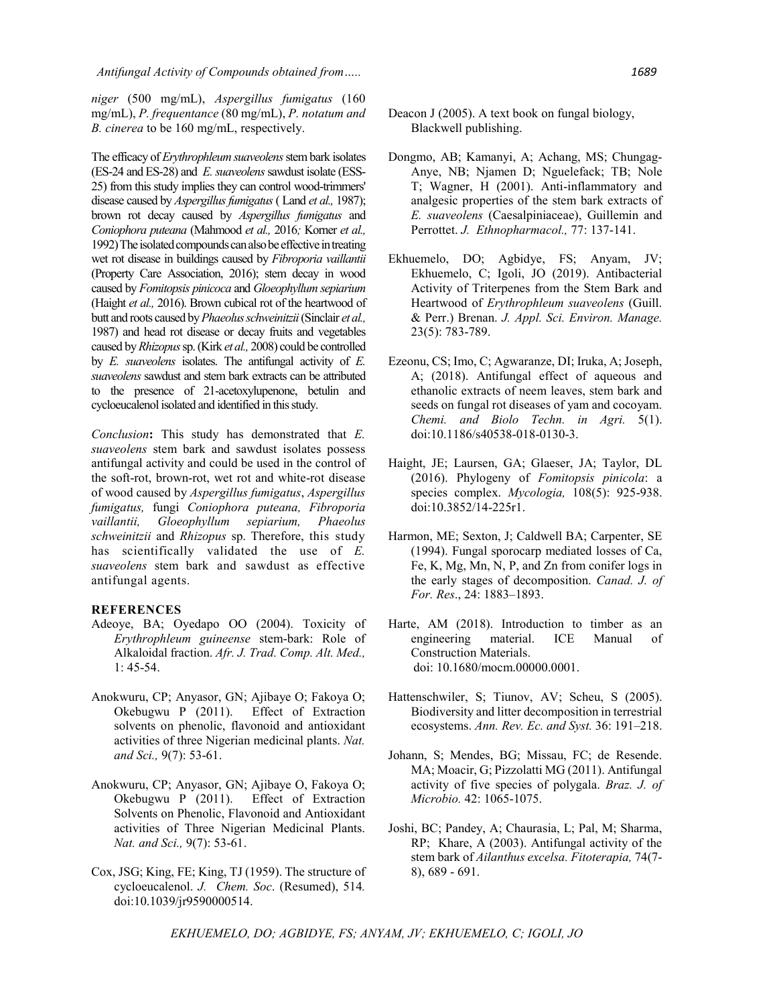*Antifungal Activity of Compounds obtained from….. 1689*

*niger* (500 mg/mL), *Aspergillus fumigatus* (160 mg/mL), *P. frequentance* (80 mg/mL), *P. notatum and B. cinerea* to be 160 mg/mL, respectively.

The efficacy of *Erythrophleum suaveolens* stem bark isolates (ES-24 and ES-28) and *E. suaveolens* sawdust isolate (ESS-25) from this study implies they can control wood-trimmers' disease caused by *Aspergillus fumigatus*( Land *et al.,* 1987); brown rot decay caused by *Aspergillus fumigatus* and *Coniophora puteana* (Mahmood *et al.,* 2016*;* Korner *et al.,* 1992) The isolated compounds can also be effective in treating wet rot disease in buildings caused by *Fibroporia vaillantii*  (Property Care Association, 2016); stem decay in wood caused by *Fomitopsis pinicoca* and *Gloeophyllum sepiarium*  (Haight *et al.,* 2016). Brown cubical rot of the heartwood of butt and roots caused by *Phaeolus schweinitzii*(Sinclair *et al.,* 1987) and head rot disease or decay fruits and vegetables caused by *Rhizopus* sp. (Kirk *et al.,* 2008) could be controlled by *E. suaveolens* isolates. The antifungal activity of *E. suaveolens* sawdust and stem bark extracts can be attributed to the presence of 21-acetoxylupenone, betulin and cycloeucalenol isolated and identified in this study.

*Conclusion***:** This study has demonstrated that *E. suaveolens* stem bark and sawdust isolates possess antifungal activity and could be used in the control of the soft-rot, brown-rot, wet rot and white-rot disease of wood caused by *Aspergillus fumigatus*, *Aspergillus fumigatus,* fungi *Coniophora puteana, Fibroporia vaillantii, Gloeophyllum sepiarium, Phaeolus schweinitzii* and *Rhizopus* sp. Therefore, this study has scientifically validated the use of *E. suaveolens* stem bark and sawdust as effective antifungal agents.

#### **REFERENCES**

- Adeoye, BA; Oyedapo OO (2004). Toxicity of *Erythrophleum guineense* stem-bark: Role of Alkaloidal fraction. *Afr. J. Trad. Comp. Alt. Med.,* 1: 45-54.
- Anokwuru, CP; Anyasor, GN; Ajibaye O; Fakoya O; Okebugwu P (2011). Effect of Extraction solvents on phenolic, flavonoid and antioxidant activities of three Nigerian medicinal plants. *Nat. and Sci.,* 9(7): 53-61.
- Anokwuru, CP; Anyasor, GN; Ajibaye O, Fakoya O; Okebugwu P (2011). Effect of Extraction Solvents on Phenolic, Flavonoid and Antioxidant activities of Three Nigerian Medicinal Plants. *Nat. and Sci.,* 9(7): 53-61.
- Cox, JSG; King, FE; King, TJ (1959). The structure of cycloeucalenol. *J. Chem. Soc*. (Resumed), 514*.*  doi:10.1039/jr9590000514.
- Deacon J (2005). A text book on fungal biology, Blackwell publishing.
- Dongmo, AB; Kamanyi, A; Achang, MS; Chungag-Anye, NB; Njamen D; Nguelefack; TB; Nole T; Wagner, H (2001). Anti-inflammatory and analgesic properties of the stem bark extracts of *E. suaveolens* (Caesalpiniaceae), Guillemin and Perrottet. *J. Ethnopharmacol.,* 77: 137-141.
- Ekhuemelo, DO; Agbidye, FS; Anyam, JV; Ekhuemelo, C; Igoli, JO (2019). Antibacterial Activity of Triterpenes from the Stem Bark and Heartwood of *Erythrophleum suaveolens* (Guill. & Perr.) Brenan. *J. Appl. Sci. Environ. Manage.* 23(5): 783-789.
- Ezeonu, CS; Imo, C; Agwaranze, DI; Iruka, A; Joseph, A; (2018). Antifungal effect of aqueous and ethanolic extracts of neem leaves, stem bark and seeds on fungal rot diseases of yam and cocoyam. *Chemi. and Biolo Techn. in Agri.* 5(1). doi:10.1186/s40538-018-0130-3.
- Haight, JE; Laursen, GA; Glaeser, JA; Taylor, DL (2016). Phylogeny of *Fomitopsis pinicola*: a species complex. *Mycologia,* 108(5): 925-938. doi:10.3852/14-225r1.
- Harmon, ME; Sexton, J; Caldwell BA; Carpenter, SE (1994). Fungal sporocarp mediated losses of Ca, Fe, K, Mg, Mn, N, P, and Zn from conifer logs in the early stages of decomposition. *Canad. J. of For. Res*., 24: 1883–1893.
- Harte, AM (2018). Introduction to timber as an engineering material. ICE Manual of Construction Materials. doi: 10.1680/mocm.00000.0001.
- Hattenschwiler, S; Tiunov, AV; Scheu, S (2005). Biodiversity and litter decomposition in terrestrial ecosystems. *Ann. Rev. Ec. and Syst.* 36: 191–218.
- Johann, S; Mendes, BG; Missau, FC; de Resende. MA; Moacir, G; Pizzolatti MG (2011). Antifungal activity of five species of polygala. *Braz. J. of Microbio.* 42: 1065-1075.
- Joshi, BC; Pandey, A; Chaurasia, L; Pal, M; Sharma, RP; Khare, A (2003). Antifungal activity of the stem bark of *Ailanthus excelsa. Fitoterapia,* 74(7- 8), 689 - 691.

*EKHUEMELO, DO; AGBIDYE, FS; ANYAM, JV; EKHUEMELO, C; IGOLI, JO*